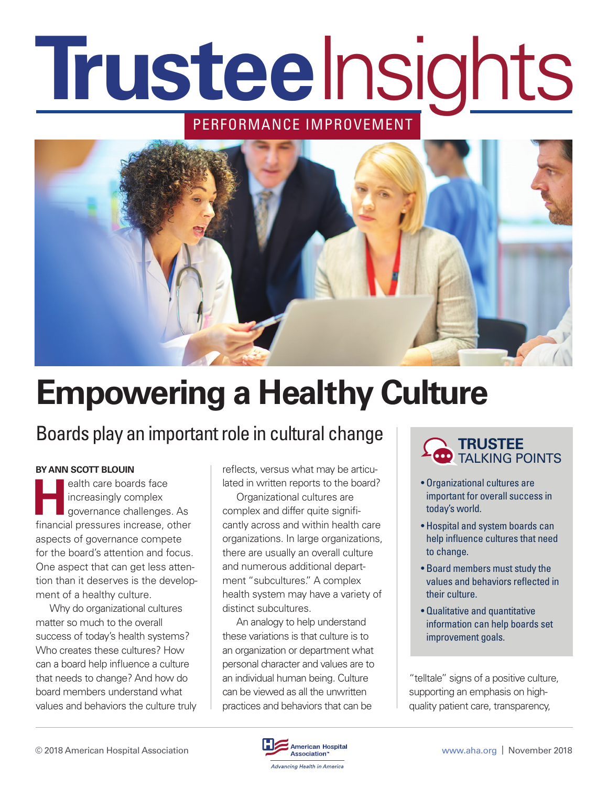# **Trustee**Insights

## PERFORMANCE IMPROVEMENT



# **Empowering a Healthy Culture**

## Boards play an important role in cultural change

#### **BY ANN SCOTT BLOUIN**

**Health care boards face**<br>
increasingly complex<br>
governance challenges increasingly complex governance challenges. As financial pressures increase, other aspects of governance compete for the board's attention and focus. One aspect that can get less attention than it deserves is the development of a healthy culture.

Why do organizational cultures matter so much to the overall success of today's health systems? Who creates these cultures? How can a board help influence a culture that needs to change? And how do board members understand what values and behaviors the culture truly reflects, versus what may be articulated in written reports to the board?

Organizational cultures are complex and differ quite significantly across and within health care organizations. In large organizations, there are usually an overall culture and numerous additional department "subcultures." A complex health system may have a variety of distinct subcultures.

An analogy to help understand these variations is that culture is to an organization or department what personal character and values are to an individual human being. Culture can be viewed as all the unwritten practices and behaviors that can be



- Organizational cultures are important for overall success in today's world.
- Hospital and system boards can help influence cultures that need to change.
- Board members must study the values and behaviors reflected in their culture.
- Qualitative and quantitative information can help boards set improvement goals.

"telltale" signs of a positive culture, supporting an emphasis on highquality patient care, transparency,

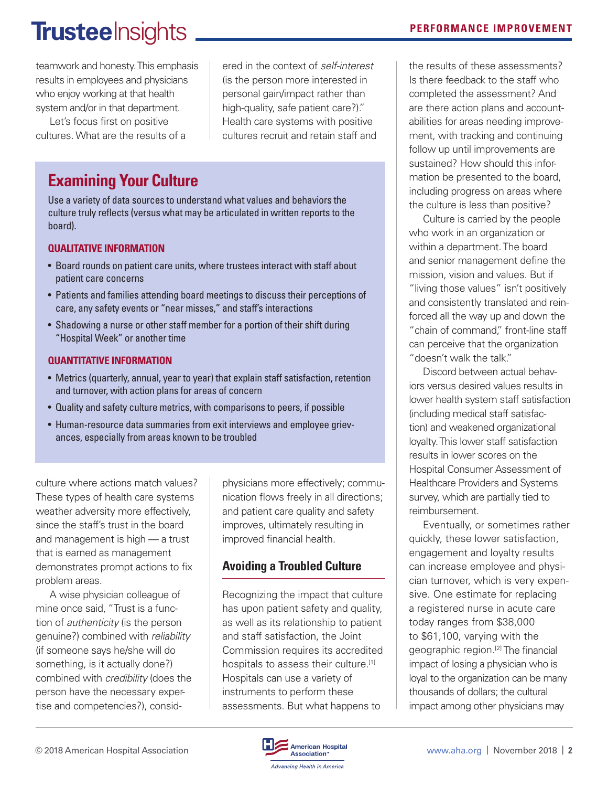# TrusteeInsights **PERFORMANCE IMPROVEMENT**

teamwork and honesty. This emphasis results in employees and physicians who enjoy working at that health system and/or in that department.

Let's focus first on positive cultures. What are the results of a ered in the context of *self-interest*  (is the person more interested in personal gain/impact rather than high-quality, safe patient care?)." Health care systems with positive cultures recruit and retain staff and

### **Examining Your Culture**

Use a variety of data sources to understand what values and behaviors the culture truly reflects (versus what may be articulated in written reports to the board).

#### **QUALITATIVE INFORMATION**

- Board rounds on patient care units, where trustees interact with staff about patient care concerns
- Patients and families attending board meetings to discuss their perceptions of care, any safety events or "near misses," and staff's interactions
- Shadowing a nurse or other staff member for a portion of their shift during "Hospital Week" or another time

#### **QUANTITATIVE INFORMATION**

- Metrics (quarterly, annual, year to year) that explain staff satisfaction, retention and turnover, with action plans for areas of concern
- Quality and safety culture metrics, with comparisons to peers, if possible
- Human-resource data summaries from exit interviews and employee grievances, especially from areas known to be troubled

culture where actions match values? These types of health care systems weather adversity more effectively, since the staff's trust in the board and management is high — a trust that is earned as management demonstrates prompt actions to fix problem areas.

A wise physician colleague of mine once said, "Trust is a function of *authenticity* (is the person genuine?) combined with *reliability* (if someone says he/she will do something, is it actually done?) combined with *credibility* (does the person have the necessary expertise and competencies?), considphysicians more effectively; communication flows freely in all directions; and patient care quality and safety improves, ultimately resulting in improved financial health.

#### **Avoiding a Troubled Culture**

Recognizing the impact that culture has upon patient safety and quality, as well as its relationship to patient and staff satisfaction, the Joint Commission requires its accredited hospitals to assess their culture.<sup>[1]</sup> Hospitals can use a variety of instruments to perform these assessments. But what happens to

the results of these assessments? Is there feedback to the staff who completed the assessment? And are there action plans and accountabilities for areas needing improvement, with tracking and continuing follow up until improvements are sustained? How should this information be presented to the board, including progress on areas where the culture is less than positive?

Culture is carried by the people who work in an organization or within a department. The board and senior management define the mission, vision and values. But if "living those values" isn't positively and consistently translated and reinforced all the way up and down the "chain of command." front-line staff can perceive that the organization "doesn't walk the talk."

Discord between actual behaviors versus desired values results in lower health system staff satisfaction (including medical staff satisfaction) and weakened organizational loyalty. This lower staff satisfaction results in lower scores on the Hospital Consumer Assessment of Healthcare Providers and Systems survey, which are partially tied to reimbursement.

Eventually, or sometimes rather quickly, these lower satisfaction, engagement and loyalty results can increase employee and physician turnover, which is very expensive. One estimate for replacing a registered nurse in acute care today ranges from \$38,000 to \$61,100, varying with the geographic region.<sup>[2]</sup> The financial impact of losing a physician who is loyal to the organization can be many thousands of dollars; the cultural impact among other physicians may